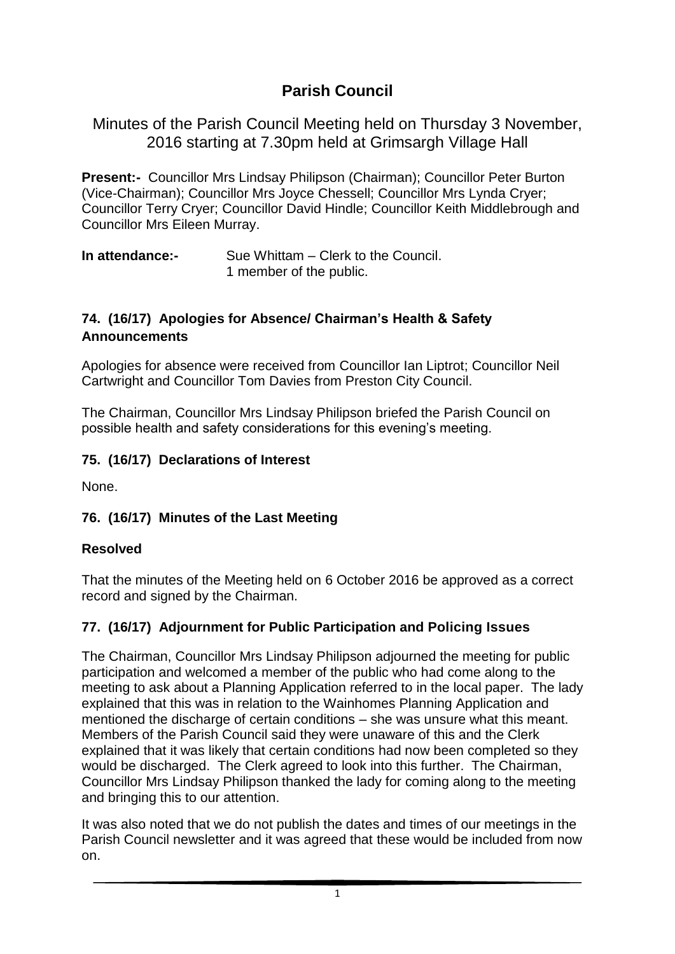# **Parish Council**

Minutes of the Parish Council Meeting held on Thursday 3 November, 2016 starting at 7.30pm held at Grimsargh Village Hall

**Present:-** Councillor Mrs Lindsay Philipson (Chairman); Councillor Peter Burton (Vice-Chairman); Councillor Mrs Joyce Chessell; Councillor Mrs Lynda Cryer; Councillor Terry Cryer; Councillor David Hindle; Councillor Keith Middlebrough and Councillor Mrs Eileen Murray.

**In attendance:-** Sue Whittam – Clerk to the Council. 1 member of the public.

### **74. (16/17) Apologies for Absence/ Chairman's Health & Safety Announcements**

Apologies for absence were received from Councillor Ian Liptrot; Councillor Neil Cartwright and Councillor Tom Davies from Preston City Council.

The Chairman, Councillor Mrs Lindsay Philipson briefed the Parish Council on possible health and safety considerations for this evening's meeting.

### **75. (16/17) Declarations of Interest**

None.

#### **76. (16/17) Minutes of the Last Meeting**

#### **Resolved**

That the minutes of the Meeting held on 6 October 2016 be approved as a correct record and signed by the Chairman.

## **77. (16/17) Adjournment for Public Participation and Policing Issues**

The Chairman, Councillor Mrs Lindsay Philipson adjourned the meeting for public participation and welcomed a member of the public who had come along to the meeting to ask about a Planning Application referred to in the local paper. The lady explained that this was in relation to the Wainhomes Planning Application and mentioned the discharge of certain conditions – she was unsure what this meant. Members of the Parish Council said they were unaware of this and the Clerk explained that it was likely that certain conditions had now been completed so they would be discharged. The Clerk agreed to look into this further. The Chairman, Councillor Mrs Lindsay Philipson thanked the lady for coming along to the meeting and bringing this to our attention.

It was also noted that we do not publish the dates and times of our meetings in the Parish Council newsletter and it was agreed that these would be included from now on.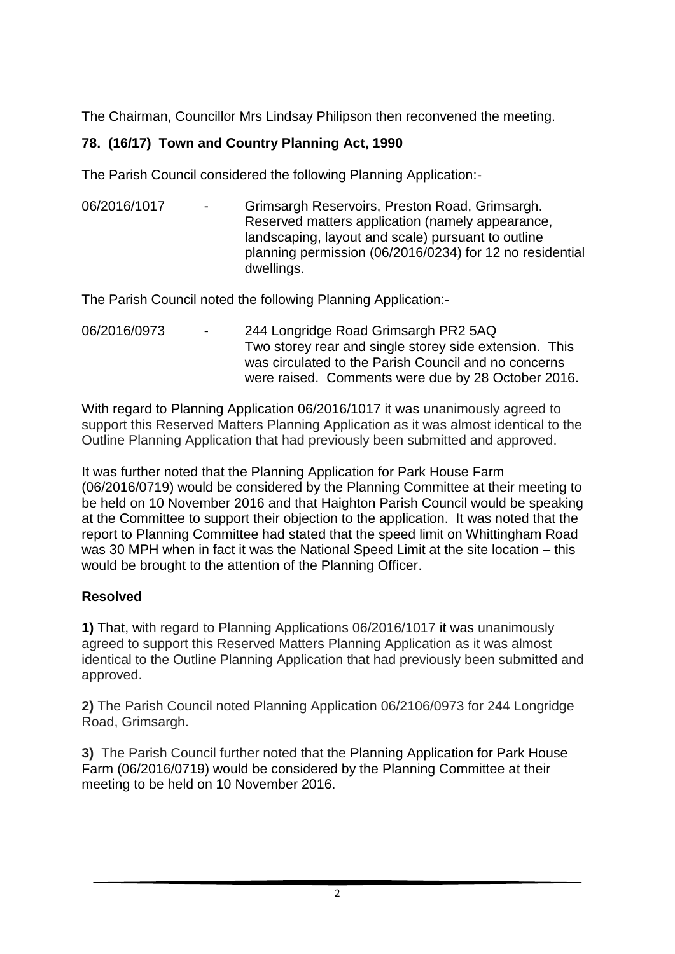The Chairman, Councillor Mrs Lindsay Philipson then reconvened the meeting.

## **78. (16/17) Town and Country Planning Act, 1990**

The Parish Council considered the following Planning Application:-

06/2016/1017 - Grimsargh Reservoirs, Preston Road, Grimsargh. Reserved matters application (namely appearance, landscaping, layout and scale) pursuant to outline planning permission (06/2016/0234) for 12 no residential dwellings.

The Parish Council noted the following Planning Application:-

06/2016/0973 - 244 Longridge Road Grimsargh PR2 5AQ Two storey rear and single storey side extension. This was circulated to the Parish Council and no concerns were raised. Comments were due by 28 October 2016.

With regard to Planning Application 06/2016/1017 it was unanimously agreed to support this Reserved Matters Planning Application as it was almost identical to the Outline Planning Application that had previously been submitted and approved.

It was further noted that the Planning Application for Park House Farm (06/2016/0719) would be considered by the Planning Committee at their meeting to be held on 10 November 2016 and that Haighton Parish Council would be speaking at the Committee to support their objection to the application. It was noted that the report to Planning Committee had stated that the speed limit on Whittingham Road was 30 MPH when in fact it was the National Speed Limit at the site location – this would be brought to the attention of the Planning Officer.

## **Resolved**

**1)** That, with regard to Planning Applications 06/2016/1017 it was unanimously agreed to support this Reserved Matters Planning Application as it was almost identical to the Outline Planning Application that had previously been submitted and approved.

**2)** The Parish Council noted Planning Application 06/2106/0973 for 244 Longridge Road, Grimsargh.

**3)** The Parish Council further noted that the Planning Application for Park House Farm (06/2016/0719) would be considered by the Planning Committee at their meeting to be held on 10 November 2016.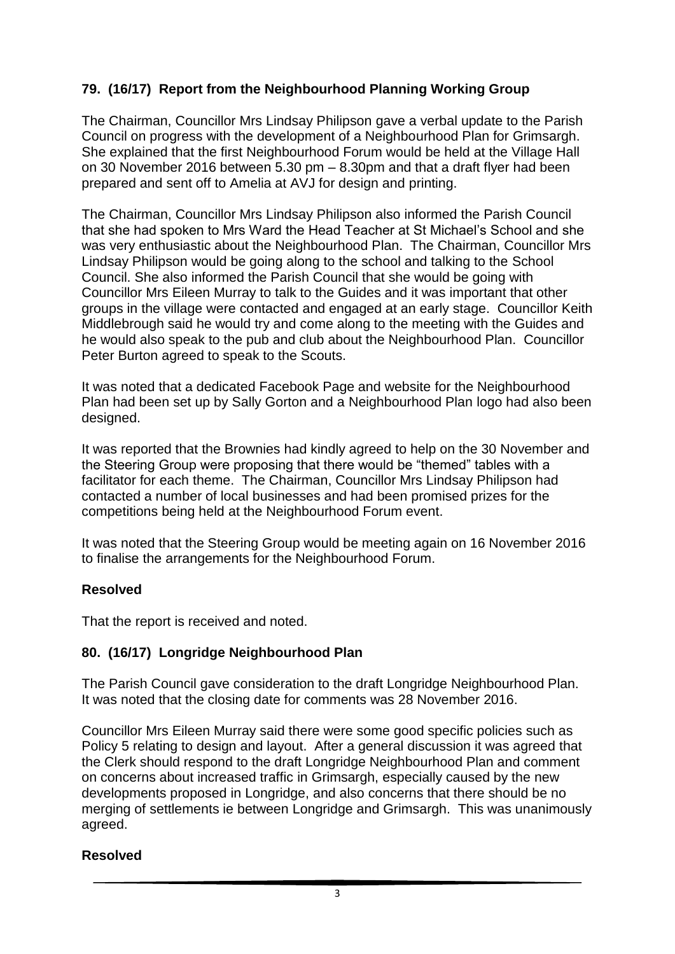## **79. (16/17) Report from the Neighbourhood Planning Working Group**

The Chairman, Councillor Mrs Lindsay Philipson gave a verbal update to the Parish Council on progress with the development of a Neighbourhood Plan for Grimsargh. She explained that the first Neighbourhood Forum would be held at the Village Hall on 30 November 2016 between 5.30 pm – 8.30pm and that a draft flyer had been prepared and sent off to Amelia at AVJ for design and printing.

The Chairman, Councillor Mrs Lindsay Philipson also informed the Parish Council that she had spoken to Mrs Ward the Head Teacher at St Michael's School and she was very enthusiastic about the Neighbourhood Plan. The Chairman, Councillor Mrs Lindsay Philipson would be going along to the school and talking to the School Council. She also informed the Parish Council that she would be going with Councillor Mrs Eileen Murray to talk to the Guides and it was important that other groups in the village were contacted and engaged at an early stage. Councillor Keith Middlebrough said he would try and come along to the meeting with the Guides and he would also speak to the pub and club about the Neighbourhood Plan. Councillor Peter Burton agreed to speak to the Scouts.

It was noted that a dedicated Facebook Page and website for the Neighbourhood Plan had been set up by Sally Gorton and a Neighbourhood Plan logo had also been designed.

It was reported that the Brownies had kindly agreed to help on the 30 November and the Steering Group were proposing that there would be "themed" tables with a facilitator for each theme. The Chairman, Councillor Mrs Lindsay Philipson had contacted a number of local businesses and had been promised prizes for the competitions being held at the Neighbourhood Forum event.

It was noted that the Steering Group would be meeting again on 16 November 2016 to finalise the arrangements for the Neighbourhood Forum.

#### **Resolved**

That the report is received and noted.

#### **80. (16/17) Longridge Neighbourhood Plan**

The Parish Council gave consideration to the draft Longridge Neighbourhood Plan. It was noted that the closing date for comments was 28 November 2016.

Councillor Mrs Eileen Murray said there were some good specific policies such as Policy 5 relating to design and layout. After a general discussion it was agreed that the Clerk should respond to the draft Longridge Neighbourhood Plan and comment on concerns about increased traffic in Grimsargh, especially caused by the new developments proposed in Longridge, and also concerns that there should be no merging of settlements ie between Longridge and Grimsargh. This was unanimously agreed.

#### **Resolved**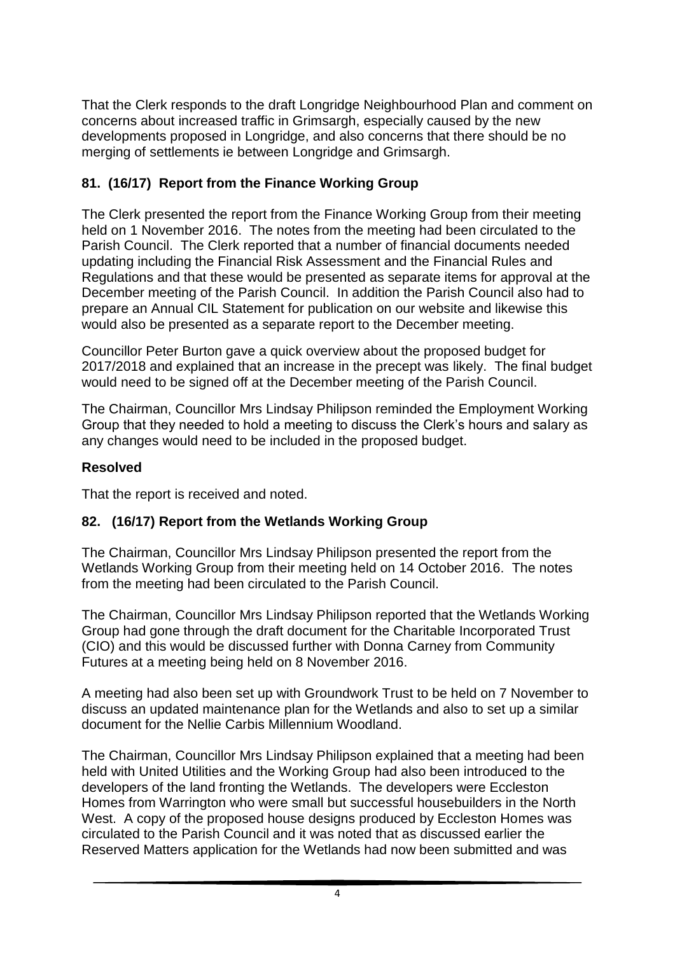That the Clerk responds to the draft Longridge Neighbourhood Plan and comment on concerns about increased traffic in Grimsargh, especially caused by the new developments proposed in Longridge, and also concerns that there should be no merging of settlements ie between Longridge and Grimsargh.

## **81. (16/17) Report from the Finance Working Group**

The Clerk presented the report from the Finance Working Group from their meeting held on 1 November 2016. The notes from the meeting had been circulated to the Parish Council. The Clerk reported that a number of financial documents needed updating including the Financial Risk Assessment and the Financial Rules and Regulations and that these would be presented as separate items for approval at the December meeting of the Parish Council. In addition the Parish Council also had to prepare an Annual CIL Statement for publication on our website and likewise this would also be presented as a separate report to the December meeting.

Councillor Peter Burton gave a quick overview about the proposed budget for 2017/2018 and explained that an increase in the precept was likely. The final budget would need to be signed off at the December meeting of the Parish Council.

The Chairman, Councillor Mrs Lindsay Philipson reminded the Employment Working Group that they needed to hold a meeting to discuss the Clerk's hours and salary as any changes would need to be included in the proposed budget.

#### **Resolved**

That the report is received and noted.

#### **82. (16/17) Report from the Wetlands Working Group**

The Chairman, Councillor Mrs Lindsay Philipson presented the report from the Wetlands Working Group from their meeting held on 14 October 2016. The notes from the meeting had been circulated to the Parish Council.

The Chairman, Councillor Mrs Lindsay Philipson reported that the Wetlands Working Group had gone through the draft document for the Charitable Incorporated Trust (CIO) and this would be discussed further with Donna Carney from Community Futures at a meeting being held on 8 November 2016.

A meeting had also been set up with Groundwork Trust to be held on 7 November to discuss an updated maintenance plan for the Wetlands and also to set up a similar document for the Nellie Carbis Millennium Woodland.

The Chairman, Councillor Mrs Lindsay Philipson explained that a meeting had been held with United Utilities and the Working Group had also been introduced to the developers of the land fronting the Wetlands. The developers were Eccleston Homes from Warrington who were small but successful housebuilders in the North West. A copy of the proposed house designs produced by Eccleston Homes was circulated to the Parish Council and it was noted that as discussed earlier the Reserved Matters application for the Wetlands had now been submitted and was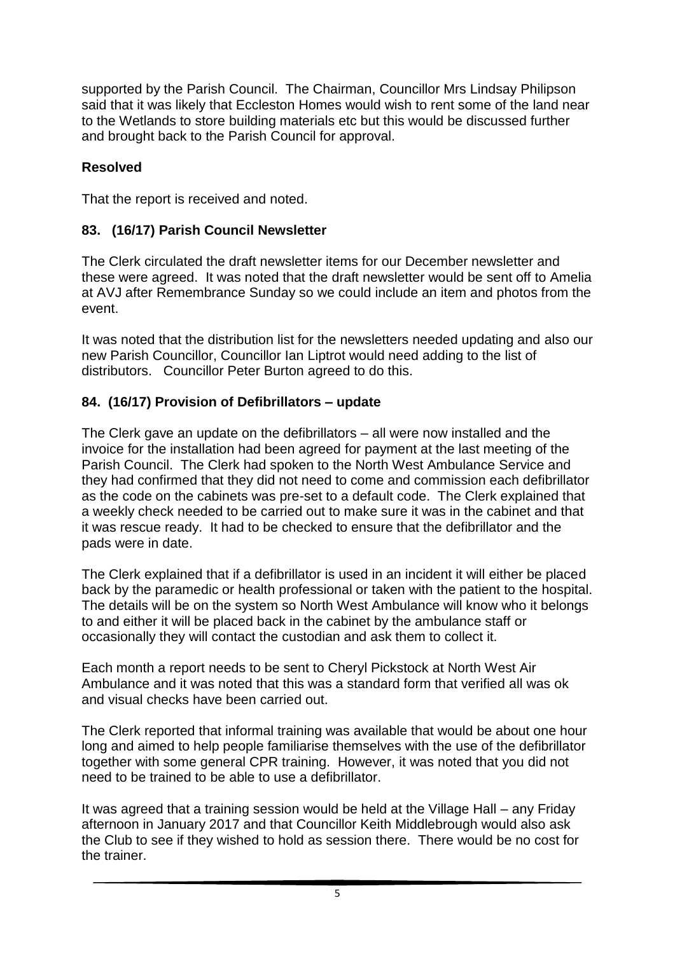supported by the Parish Council. The Chairman, Councillor Mrs Lindsay Philipson said that it was likely that Eccleston Homes would wish to rent some of the land near to the Wetlands to store building materials etc but this would be discussed further and brought back to the Parish Council for approval.

#### **Resolved**

That the report is received and noted.

### **83. (16/17) Parish Council Newsletter**

The Clerk circulated the draft newsletter items for our December newsletter and these were agreed. It was noted that the draft newsletter would be sent off to Amelia at AVJ after Remembrance Sunday so we could include an item and photos from the event.

It was noted that the distribution list for the newsletters needed updating and also our new Parish Councillor, Councillor Ian Liptrot would need adding to the list of distributors. Councillor Peter Burton agreed to do this.

### **84. (16/17) Provision of Defibrillators – update**

The Clerk gave an update on the defibrillators – all were now installed and the invoice for the installation had been agreed for payment at the last meeting of the Parish Council. The Clerk had spoken to the North West Ambulance Service and they had confirmed that they did not need to come and commission each defibrillator as the code on the cabinets was pre-set to a default code. The Clerk explained that a weekly check needed to be carried out to make sure it was in the cabinet and that it was rescue ready. It had to be checked to ensure that the defibrillator and the pads were in date.

The Clerk explained that if a defibrillator is used in an incident it will either be placed back by the paramedic or health professional or taken with the patient to the hospital. The details will be on the system so North West Ambulance will know who it belongs to and either it will be placed back in the cabinet by the ambulance staff or occasionally they will contact the custodian and ask them to collect it.

Each month a report needs to be sent to Cheryl Pickstock at North West Air Ambulance and it was noted that this was a standard form that verified all was ok and visual checks have been carried out.

The Clerk reported that informal training was available that would be about one hour long and aimed to help people familiarise themselves with the use of the defibrillator together with some general CPR training. However, it was noted that you did not need to be trained to be able to use a defibrillator.

It was agreed that a training session would be held at the Village Hall – any Friday afternoon in January 2017 and that Councillor Keith Middlebrough would also ask the Club to see if they wished to hold as session there. There would be no cost for the trainer.